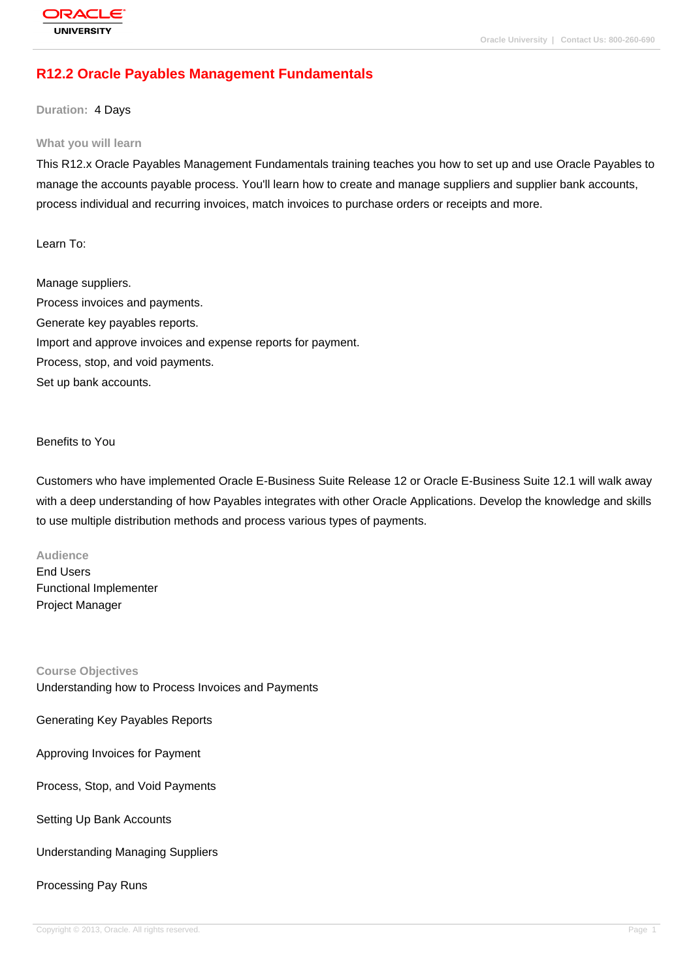# **[R12.2 Oracle P](http://education.oracle.com/pls/web_prod-plq-dad/db_pages.getpage?page_id=3)ayables Management Fundamentals**

**Duration:** 4 Days

#### **What you will learn**

This R12.x Oracle Payables Management Fundamentals training teaches you how to set up and use Oracle Payables to manage the accounts payable process. You'll learn how to create and manage suppliers and supplier bank accounts, process individual and recurring invoices, match invoices to purchase orders or receipts and more.

Learn To:

Manage suppliers. Process invoices and payments. Generate key payables reports. Import and approve invoices and expense reports for payment. Process, stop, and void payments. Set up bank accounts.

# Benefits to You

Customers who have implemented Oracle E-Business Suite Release 12 or Oracle E-Business Suite 12.1 will walk away with a deep understanding of how Payables integrates with other Oracle Applications. Develop the knowledge and skills to use multiple distribution methods and process various types of payments.

#### **Audience**

End Users Functional Implementer Project Manager

**Course Objectives** Understanding how to Process Invoices and Payments

Generating Key Payables Reports

Approving Invoices for Payment

Process, Stop, and Void Payments

Setting Up Bank Accounts

Understanding Managing Suppliers

#### Processing Pay Runs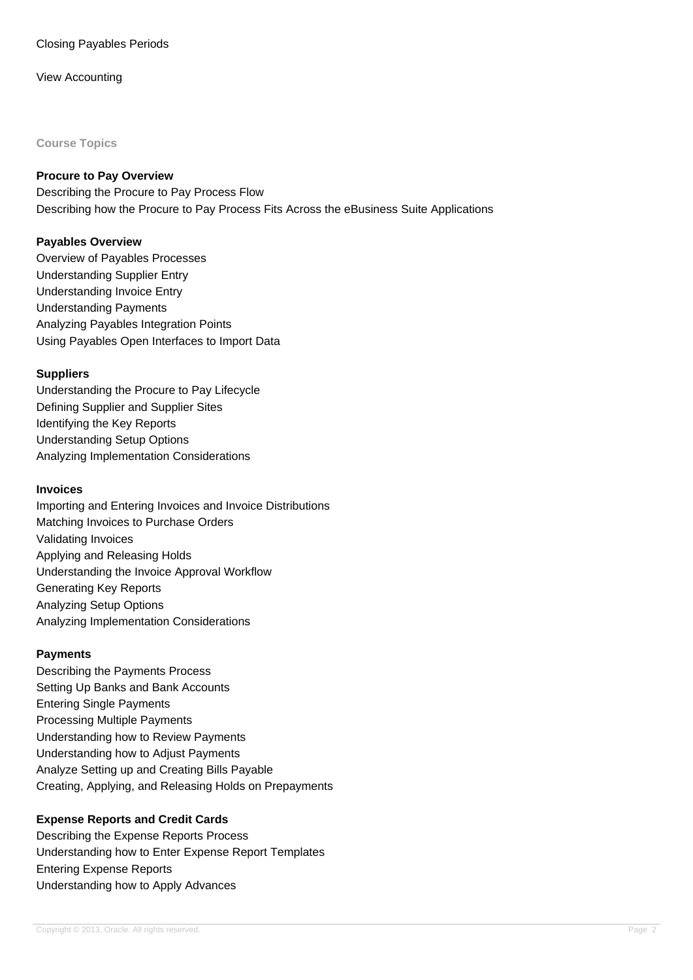# Closing Payables Periods

### View Accounting

# **Course Topics**

### **Procure to Pay Overview**

Describing the Procure to Pay Process Flow Describing how the Procure to Pay Process Fits Across the eBusiness Suite Applications

### **Payables Overview**

Overview of Payables Processes Understanding Supplier Entry Understanding Invoice Entry Understanding Payments Analyzing Payables Integration Points Using Payables Open Interfaces to Import Data

#### **Suppliers**

Understanding the Procure to Pay Lifecycle Defining Supplier and Supplier Sites Identifying the Key Reports Understanding Setup Options Analyzing Implementation Considerations

### **Invoices**

Importing and Entering Invoices and Invoice Distributions Matching Invoices to Purchase Orders Validating Invoices Applying and Releasing Holds Understanding the Invoice Approval Workflow Generating Key Reports Analyzing Setup Options Analyzing Implementation Considerations

#### **Payments**

Describing the Payments Process Setting Up Banks and Bank Accounts Entering Single Payments Processing Multiple Payments Understanding how to Review Payments Understanding how to Adjust Payments Analyze Setting up and Creating Bills Payable Creating, Applying, and Releasing Holds on Prepayments

# **Expense Reports and Credit Cards**

Describing the Expense Reports Process Understanding how to Enter Expense Report Templates Entering Expense Reports Understanding how to Apply Advances